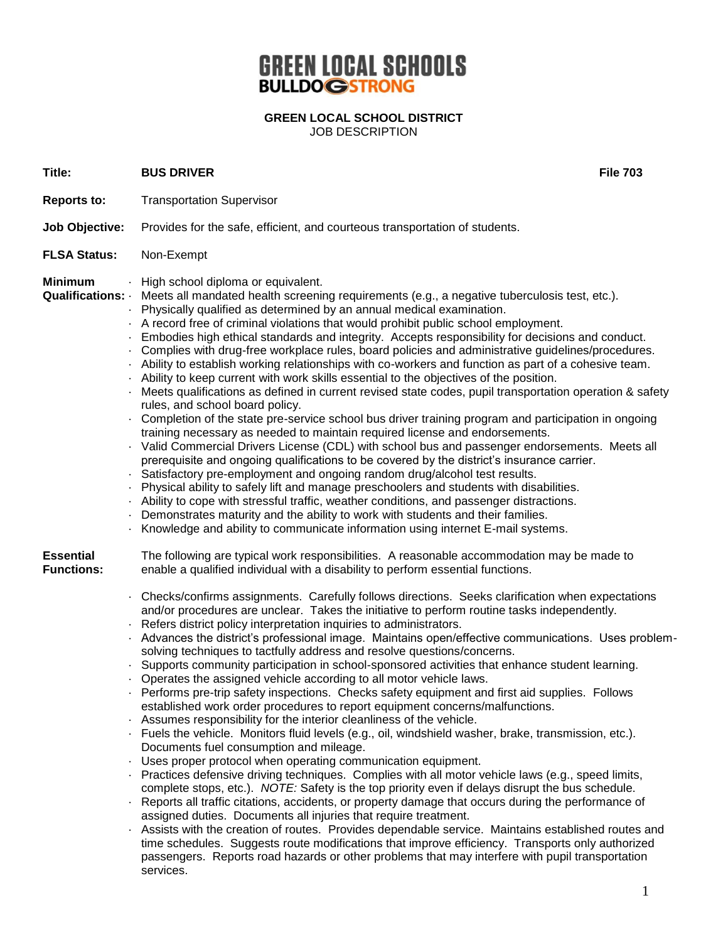## **GREEN LOCAL SCHOOLS BULLDOGSTRONG**

**GREEN LOCAL SCHOOL DISTRICT** JOB DESCRIPTION

**Title: BUS DRIVER File 703**

- **Reports to:** Transportation Supervisor
- **Job Objective:** Provides for the safe, efficient, and courteous transportation of students.
- **FLSA Status:** Non-Exempt
- **Minimum** · High school diploma or equivalent.
- **Qualifications:** · Meets all mandated health screening requirements (e.g., a negative tuberculosis test, etc.).
	- · Physically qualified as determined by an annual medical examination.
	- · A record free of criminal violations that would prohibit public school employment.
	- · Embodies high ethical standards and integrity. Accepts responsibility for decisions and conduct.
	- · Complies with drug-free workplace rules, board policies and administrative guidelines/procedures.
	- · Ability to establish working relationships with co-workers and function as part of a cohesive team.
	- · Ability to keep current with work skills essential to the objectives of the position.
	- · Meets qualifications as defined in current revised state codes, pupil transportation operation & safety rules, and school board policy.
	- · Completion of the state pre-service school bus driver training program and participation in ongoing training necessary as needed to maintain required license and endorsements.
	- · Valid Commercial Drivers License (CDL) with school bus and passenger endorsements. Meets all prerequisite and ongoing qualifications to be covered by the district's insurance carrier.
	- · Satisfactory pre-employment and ongoing random drug/alcohol test results.
	- · Physical ability to safely lift and manage preschoolers and students with disabilities.
	- · Ability to cope with stressful traffic, weather conditions, and passenger distractions.
	- · Demonstrates maturity and the ability to work with students and their families.
	- · Knowledge and ability to communicate information using internet E-mail systems.

| Essential<br><b>Functions:</b> | The following are typical work responsibilities. A reasonable accommodation may be made to<br>enable a qualified individual with a disability to perform essential functions.                                                                                                                                                                                                                                                                                                                                                                                                                                                                                                                                                                                                                                                                                                                                                                                                                                                                                                                                                                                                                                                 |
|--------------------------------|-------------------------------------------------------------------------------------------------------------------------------------------------------------------------------------------------------------------------------------------------------------------------------------------------------------------------------------------------------------------------------------------------------------------------------------------------------------------------------------------------------------------------------------------------------------------------------------------------------------------------------------------------------------------------------------------------------------------------------------------------------------------------------------------------------------------------------------------------------------------------------------------------------------------------------------------------------------------------------------------------------------------------------------------------------------------------------------------------------------------------------------------------------------------------------------------------------------------------------|
|                                | . Checks/confirms assignments. Carefully follows directions. Seeks clarification when expectations<br>and/or procedures are unclear. Takes the initiative to perform routine tasks independently.<br>Refers district policy interpretation inquiries to administrators.<br>- Advances the district's professional image. Maintains open/effective communications. Uses problem-<br>solving techniques to tactfully address and resolve questions/concerns.<br>. Supports community participation in school-sponsored activities that enhance student learning.<br>. Operates the assigned vehicle according to all motor vehicle laws.<br>. Performs pre-trip safety inspections. Checks safety equipment and first aid supplies. Follows<br>established work order procedures to report equipment concerns/malfunctions.<br>. Assumes responsibility for the interior cleanliness of the vehicle.<br>· Fuels the vehicle. Monitors fluid levels (e.g., oil, windshield washer, brake, transmission, etc.).<br>Documents fuel consumption and mileage.<br>Uses proper protocol when operating communication equipment.<br>. Practices defensive driving techniques. Complies with all motor vehicle laws (e.g., speed limits, |
|                                | complete stops, etc.). NOTE: Safety is the top priority even if delays disrupt the bus schedule.                                                                                                                                                                                                                                                                                                                                                                                                                                                                                                                                                                                                                                                                                                                                                                                                                                                                                                                                                                                                                                                                                                                              |

- · Reports all traffic citations, accidents, or property damage that occurs during the performance of assigned duties. Documents all injuries that require treatment.
- Assists with the creation of routes. Provides dependable service. Maintains established routes and time schedules. Suggests route modifications that improve efficiency. Transports only authorized passengers. Reports road hazards or other problems that may interfere with pupil transportation services.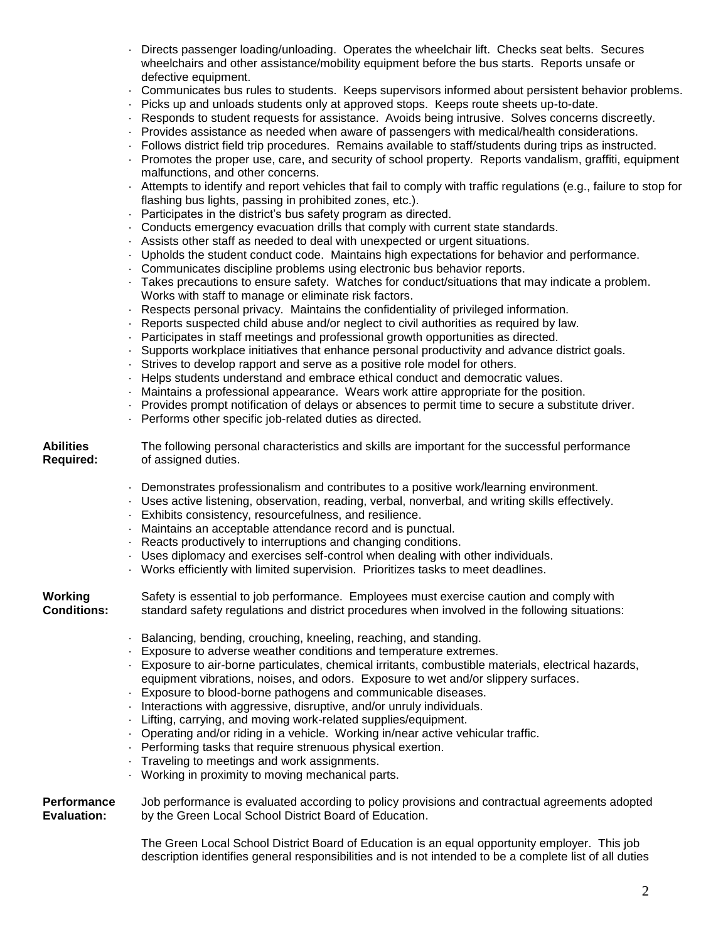- · Directs passenger loading/unloading. Operates the wheelchair lift. Checks seat belts. Secures wheelchairs and other assistance/mobility equipment before the bus starts. Reports unsafe or defective equipment.
- · Communicates bus rules to students. Keeps supervisors informed about persistent behavior problems.
- · Picks up and unloads students only at approved stops. Keeps route sheets up-to-date.
- · Responds to student requests for assistance. Avoids being intrusive. Solves concerns discreetly.
- · Provides assistance as needed when aware of passengers with medical/health considerations.
- · Follows district field trip procedures. Remains available to staff/students during trips as instructed.
- · Promotes the proper use, care, and security of school property. Reports vandalism, graffiti, equipment malfunctions, and other concerns.
- · Attempts to identify and report vehicles that fail to comply with traffic regulations (e.g., failure to stop for flashing bus lights, passing in prohibited zones, etc.).
- Participates in the district's bus safety program as directed.
- · Conducts emergency evacuation drills that comply with current state standards.
- · Assists other staff as needed to deal with unexpected or urgent situations.
- · Upholds the student conduct code. Maintains high expectations for behavior and performance.
- · Communicates discipline problems using electronic bus behavior reports.
- · Takes precautions to ensure safety. Watches for conduct/situations that may indicate a problem. Works with staff to manage or eliminate risk factors.
- · Respects personal privacy. Maintains the confidentiality of privileged information.
- · Reports suspected child abuse and/or neglect to civil authorities as required by law.
- · Participates in staff meetings and professional growth opportunities as directed.
- · Supports workplace initiatives that enhance personal productivity and advance district goals.
- · Strives to develop rapport and serve as a positive role model for others.
- · Helps students understand and embrace ethical conduct and democratic values.
- · Maintains a professional appearance. Wears work attire appropriate for the position.
- · Provides prompt notification of delays or absences to permit time to secure a substitute driver.
- · Performs other specific job-related duties as directed.

| Abilities | The following personal characteristics and skills are important for the successful performance |
|-----------|------------------------------------------------------------------------------------------------|
| Required: | of assigned duties.                                                                            |

- · Demonstrates professionalism and contributes to a positive work/learning environment.
- · Uses active listening, observation, reading, verbal, nonverbal, and writing skills effectively.
- · Exhibits consistency, resourcefulness, and resilience.
- · Maintains an acceptable attendance record and is punctual.
- · Reacts productively to interruptions and changing conditions.
- · Uses diplomacy and exercises self-control when dealing with other individuals.
- · Works efficiently with limited supervision. Prioritizes tasks to meet deadlines.

**Working** Safety is essential to job performance. Employees must exercise caution and comply with **Conditions:** standard safety requiations and district procedures when involved in the following situations **Conditions:** standard safety regulations and district procedures when involved in the following situations:

- · Balancing, bending, crouching, kneeling, reaching, and standing.
- Exposure to adverse weather conditions and temperature extremes.
- · Exposure to air-borne particulates, chemical irritants, combustible materials, electrical hazards, equipment vibrations, noises, and odors. Exposure to wet and/or slippery surfaces.
- · Exposure to blood-borne pathogens and communicable diseases.
- · Interactions with aggressive, disruptive, and/or unruly individuals.
- · Lifting, carrying, and moving work-related supplies/equipment.
- · Operating and/or riding in a vehicle. Working in/near active vehicular traffic.
- · Performing tasks that require strenuous physical exertion.
- · Traveling to meetings and work assignments.
- · Working in proximity to moving mechanical parts.

**Performance** Job performance is evaluated according to policy provisions and contractual agreements adopted **Evaluation:** by the Green Local School District Board of Education.

> The Green Local School District Board of Education is an equal opportunity employer. This job description identifies general responsibilities and is not intended to be a complete list of all duties